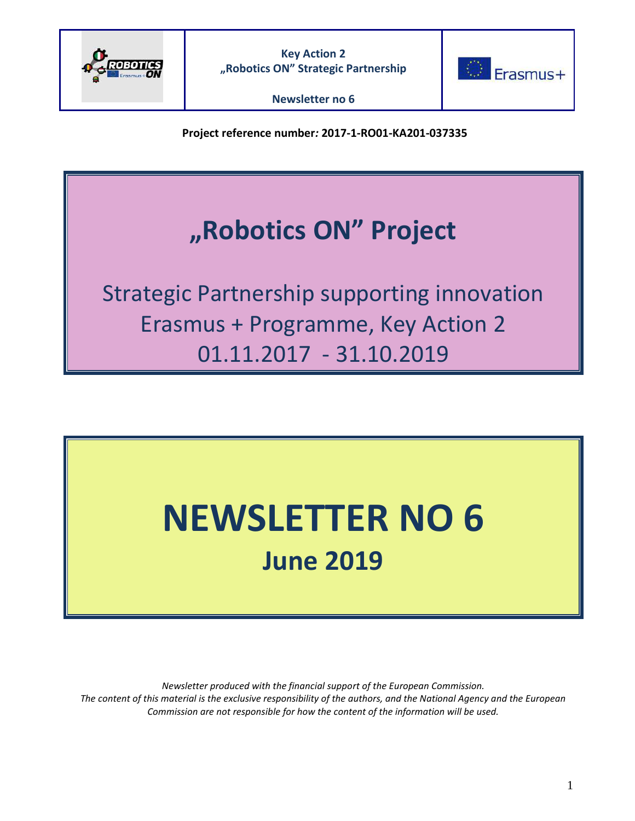



**Newsletter no 6**

**Project reference number***:* **2017-1-RO01-KA201-037335**

## **"Robotics ON" Project**

Strategic Partnership supporting innovation Erasmus + Programme, Key Action 2 01.11.2017 - 31.10.2019

# **NEWSLETTER NO 6 June 2019**

*Newsletter produced with the financial support of the European Commission. The content of this material is the exclusive responsibility of the authors, and the National Agency and the European Commission are not responsible for how the content of the information will be used.*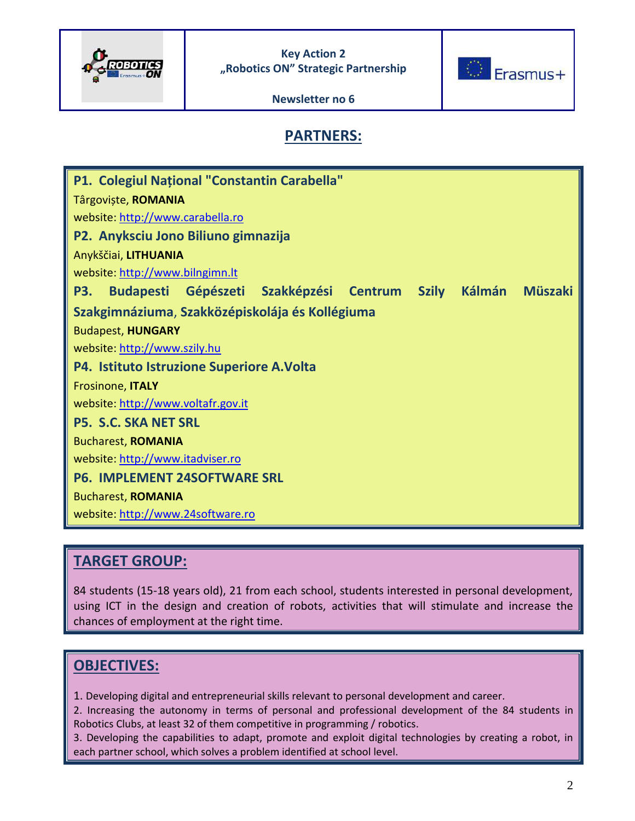



**Newsletter no 6**

#### **PARTNERS:**

| <b>P1. Colegiul Național "Constantin Carabella"</b>                                  |
|--------------------------------------------------------------------------------------|
| Târgoviște, ROMANIA                                                                  |
| website: http://www.carabella.ro                                                     |
| P2. Anyksciu Jono Biliuno gimnazija                                                  |
| Anykščiai, LITHUANIA                                                                 |
| website: http://www.bilngimn.lt                                                      |
| Budapesti Gépészeti Szakképzési Centrum Szily Kálmán<br><b>Müszaki</b><br><b>P3.</b> |
| Szakgimnáziuma, Szakközépiskolája és Kollégiuma                                      |
| <b>Budapest, HUNGARY</b>                                                             |
| website: http://www.szily.hu                                                         |
| P4. Istituto Istruzione Superiore A. Volta                                           |
| Frosinone, ITALY                                                                     |
| website: http://www.voltafr.gov.it                                                   |
| <b>P5. S.C. SKA NET SRL</b>                                                          |
| <b>Bucharest, ROMANIA</b>                                                            |
| website: http://www.itadviser.ro                                                     |
| <b>P6. IMPLEMENT 24SOFTWARE SRL</b>                                                  |
| <b>Bucharest, ROMANIA</b>                                                            |
| website: http://www.24software.ro                                                    |

#### **TARGET GROUP:**

84 students (15-18 years old), 21 from each school, students interested in personal development, using ICT in the design and creation of robots, activities that will stimulate and increase the chances of employment at the right time.

#### **OBJECTIVES:**

1. Developing digital and entrepreneurial skills relevant to personal development and career.

2. Increasing the autonomy in terms of personal and professional development of the 84 students in Robotics Clubs, at least 32 of them competitive in programming / robotics.

3. Developing the capabilities to adapt, promote and exploit digital technologies by creating a robot, in each partner school, which solves a problem identified at school level.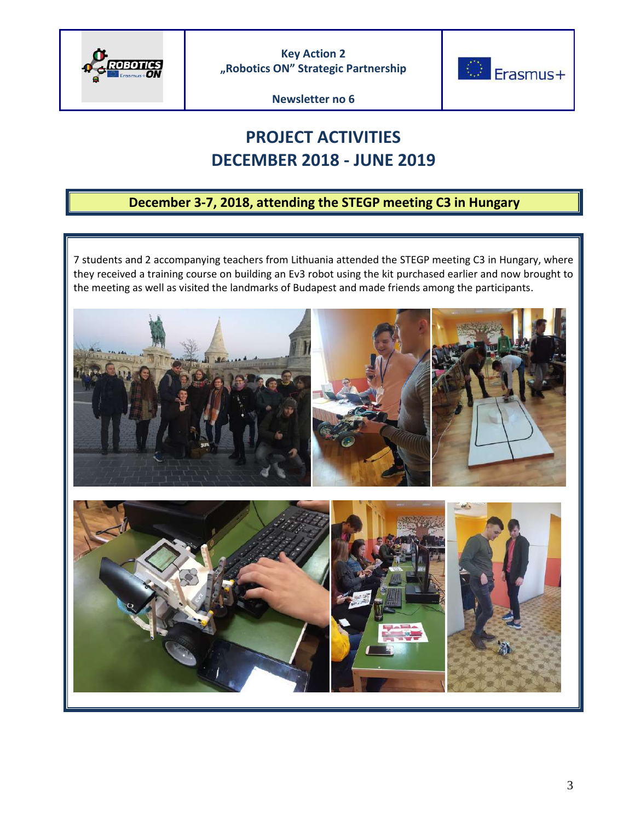

**Newsletter no 6**



### **PROJECT ACTIVITIES DECEMBER 2018 - JUNE 2019**

#### **December 3-7, 2018, attending the STEGP meeting C3 in Hungary**

7 students and 2 accompanying teachers from Lithuania attended the STEGP meeting C3 in Hungary, where they received a training course on building an Ev3 robot using the kit purchased earlier and now brought to the meeting as well as visited the landmarks of Budapest and made friends among the participants.

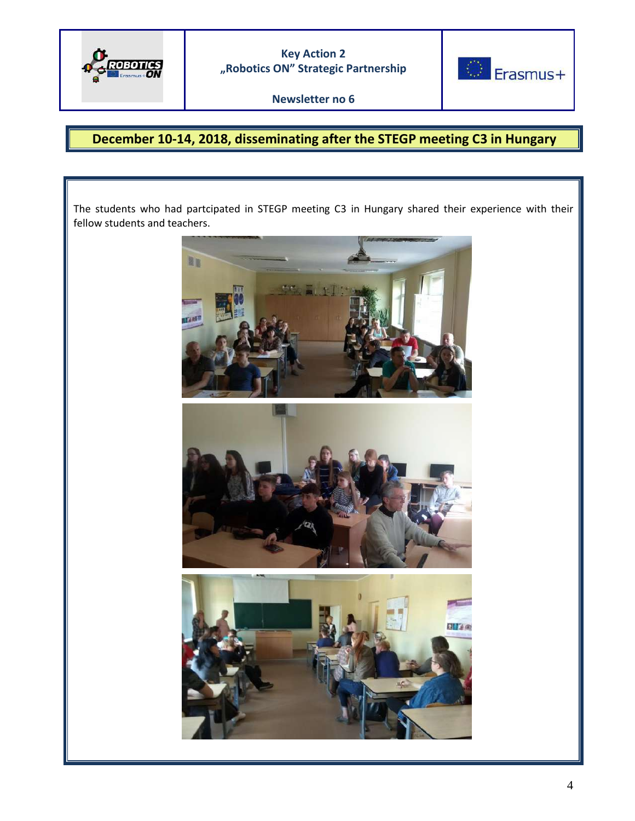![](_page_3_Picture_0.jpeg)

**Newsletter no 6**

![](_page_3_Picture_3.jpeg)

**December 10-14, 2018, disseminating after the STEGP meeting C3 in Hungary**

The students who had partcipated in STEGP meeting C3 in Hungary shared their experience with their fellow students and teachers.

![](_page_3_Picture_6.jpeg)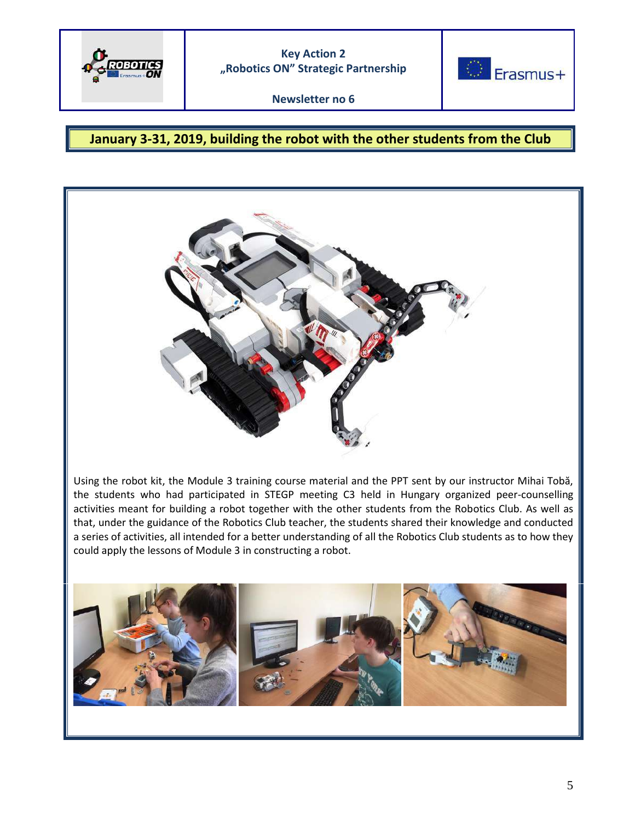![](_page_4_Picture_0.jpeg)

**Newsletter no 6**

![](_page_4_Picture_3.jpeg)

#### **January 3-31, 2019, building the robot with the other students from the Club**

![](_page_4_Picture_5.jpeg)

Using the robot kit, the Module 3 training course material and the PPT sent by our instructor Mihai Tobă, the students who had participated in STEGP meeting C3 held in Hungary organized peer-counselling activities meant for building a robot together with the other students from the Robotics Club. As well as that, under the guidance of the Robotics Club teacher, the students shared their knowledge and conducted a series of activities, all intended for a better understanding of all the Robotics Club students as to how they could apply the lessons of Module 3 in constructing a robot.

![](_page_4_Picture_7.jpeg)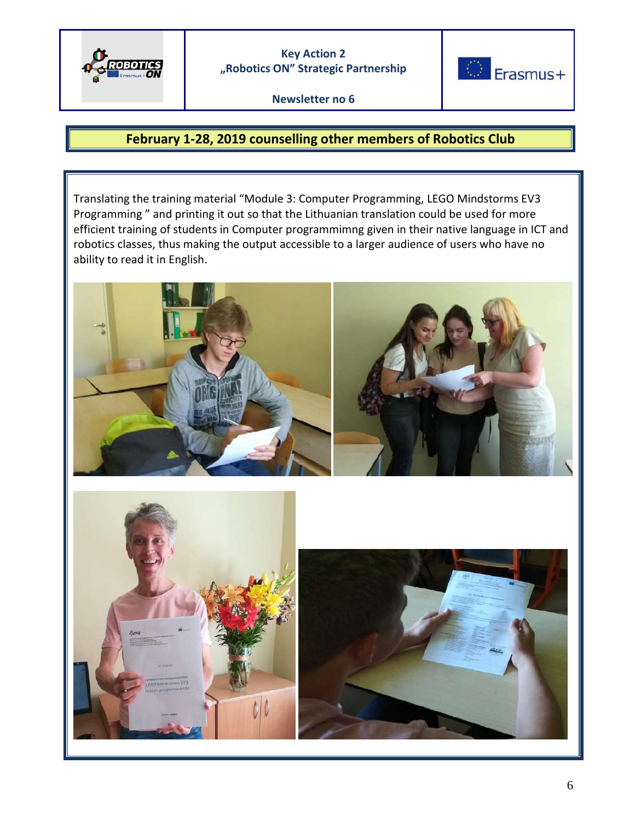![](_page_5_Picture_0.jpeg)

**Newsletter no 6**

![](_page_5_Picture_3.jpeg)

#### **February 1-28, 2019 counselling other members of Robotics Club**

Translating the training material "Module 3: Computer Programming, LEGO Mindstorms EV3 Programming " and printing it out so that the Lithuanian translation could be used for more efficient training of students in Computer programmimng given in their native language in ICT and robotics classes, thus making the output accessible to a larger audience of users who have no ability to read it in English.

![](_page_5_Picture_6.jpeg)

![](_page_5_Picture_7.jpeg)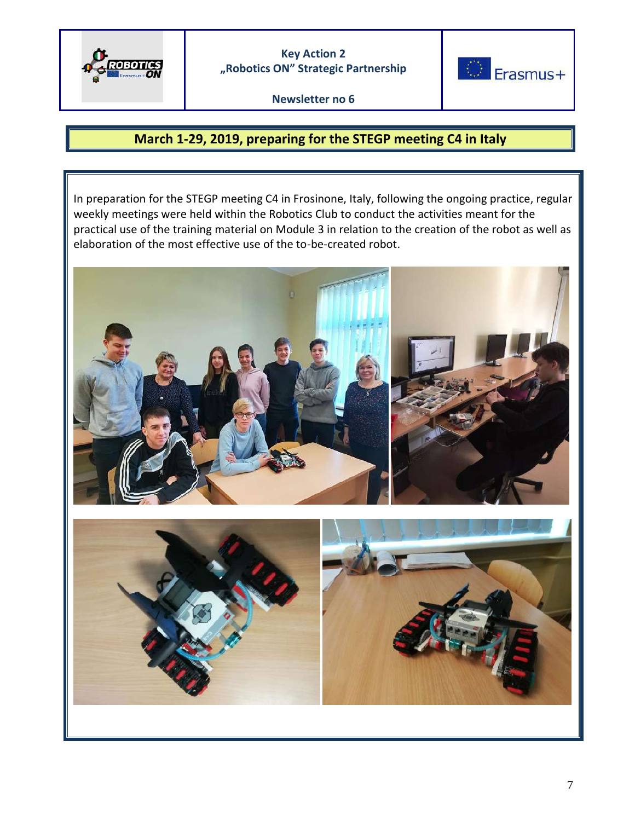![](_page_6_Picture_0.jpeg)

**Newsletter no 6**

![](_page_6_Picture_3.jpeg)

#### **March 1-29, 2019, preparing for the STEGP meeting C4 in Italy**

In preparation for the STEGP meeting C4 in Frosinone, Italy, following the ongoing practice, regular weekly meetings were held within the Robotics Club to conduct the activities meant for the practical use of the training material on Module 3 in relation to the creation of the robot as well as elaboration of the most effective use of the to-be-created robot.

![](_page_6_Picture_6.jpeg)

![](_page_6_Picture_7.jpeg)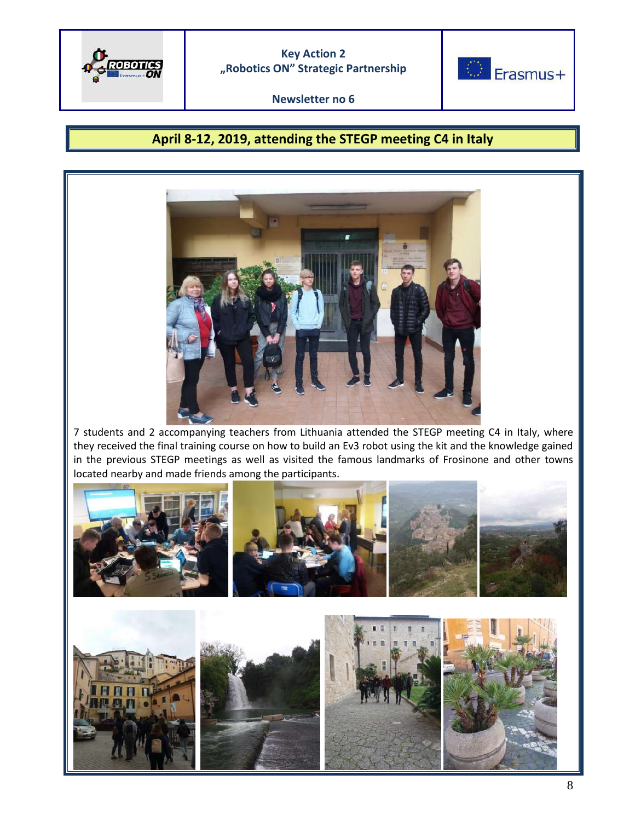![](_page_7_Picture_0.jpeg)

![](_page_7_Picture_2.jpeg)

**Newsletter no 6**

#### **April 8-12, 2019, attending the STEGP meeting C4 in Italy**

![](_page_7_Picture_5.jpeg)

7 students and 2 accompanying teachers from Lithuania attended the STEGP meeting C4 in Italy, where they received the final training course on how to build an Ev3 robot using the kit and the knowledge gained in the previous STEGP meetings as well as visited the famous landmarks of Frosinone and other towns located nearby and made friends among the participants.

![](_page_7_Picture_7.jpeg)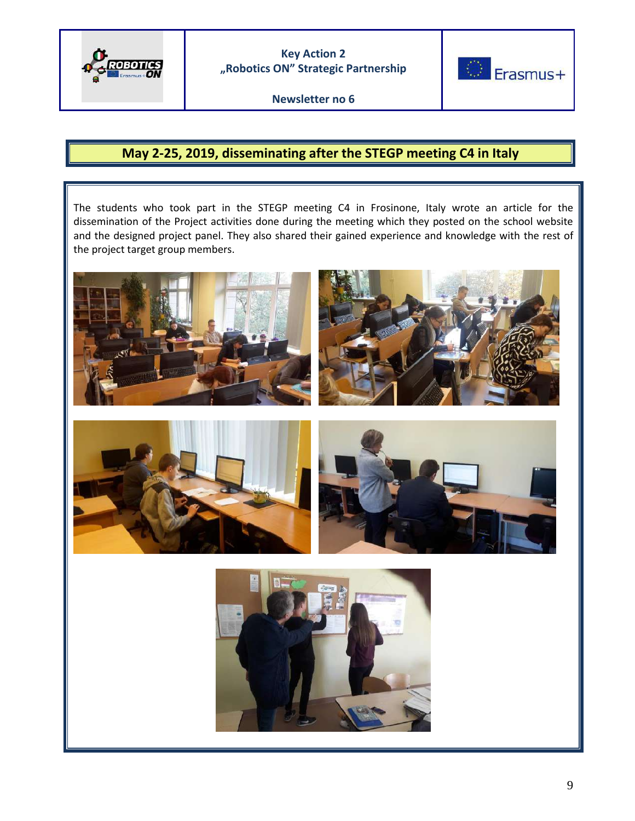![](_page_8_Picture_0.jpeg)

**Newsletter no 6**

![](_page_8_Picture_3.jpeg)

#### **May 2-25, 2019, disseminating after the STEGP meeting C4 in Italy**

The students who took part in the STEGP meeting C4 in Frosinone, Italy wrote an article for the dissemination of the Project activities done during the meeting which they posted on the school website and the designed project panel. They also shared their gained experience and knowledge with the rest of the project target group members.

![](_page_8_Picture_6.jpeg)

![](_page_8_Picture_7.jpeg)

![](_page_8_Picture_8.jpeg)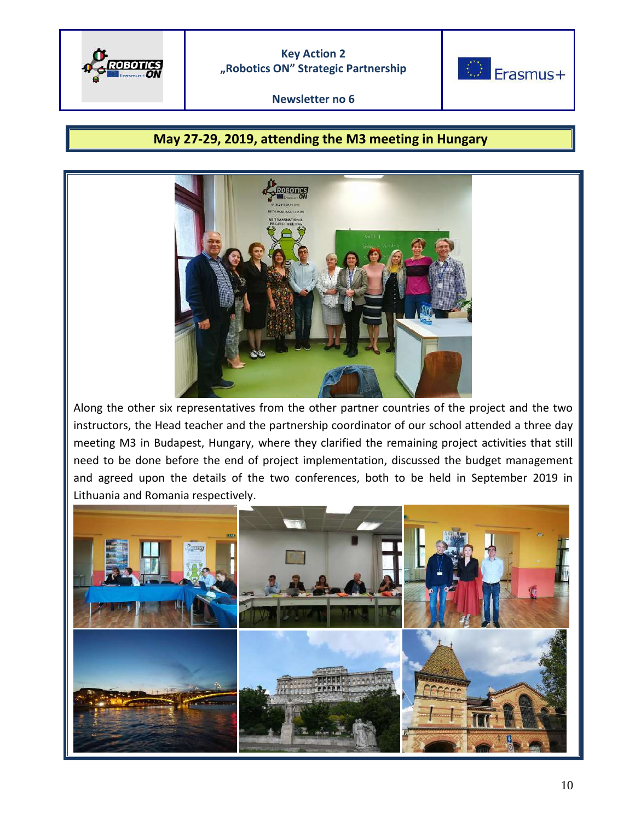![](_page_9_Picture_0.jpeg)

![](_page_9_Picture_2.jpeg)

**Newsletter no 6**

#### **May 27-29, 2019, attending the M3 meeting in Hungary**

![](_page_9_Picture_5.jpeg)

Along the other six representatives from the other partner countries of the project and the two instructors, the Head teacher and the partnership coordinator of our school attended a three day meeting M3 in Budapest, Hungary, where they clarified the remaining project activities that still need to be done before the end of project implementation, discussed the budget management and agreed upon the details of the two conferences, both to be held in September 2019 in Lithuania and Romania respectively.

![](_page_9_Picture_7.jpeg)